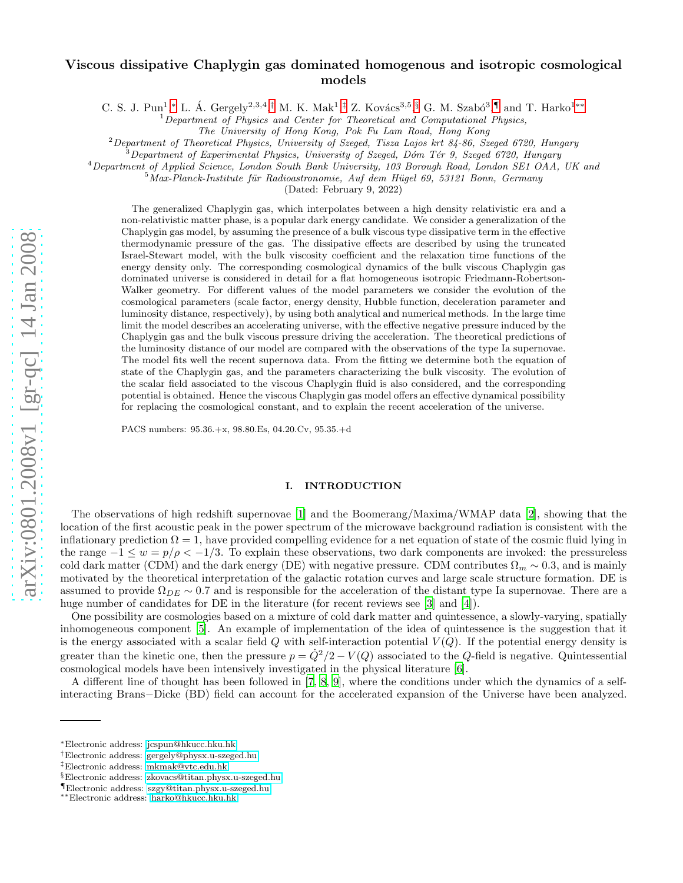# arXiv:0801.2008v1 [gr-qc] 14 Jan 2008 [arXiv:0801.2008v1 \[gr-qc\] 14 Jan 2008](http://arxiv.org/abs/0801.2008v1)

# Viscous dissipative Chaplygin gas dominated homogenous and isotropic cosmological models

C. S. J. Pun<sup>1</sup>,\* L. Á. Gergely<sup>2,3,4</sup>,<sup>[†](#page-0-1)</sup> M. K. Mak<sup>1</sup>,<sup>[‡](#page-0-2)</sup> Z. Kovács<sup>3,5</sup>,[§](#page-0-3) G. M. Szabó<sup>3</sup>,[¶](#page-0-4) and T. Harko<sup>1\*\*</sup>

<sup>1</sup>*Department of Physics and Center for Theoretical and Computational Physics,*

*The University of Hong Kong, Pok Fu Lam Road, Hong Kong*

<sup>2</sup>*Department of Theoretical Physics, University of Szeged, Tisza Lajos krt 84-86, Szeged 6720, Hungary* <sup>3</sup>*Department of Experimental Physics, University of Szeged, D´om T´er 9, Szeged 6720, Hungary*

<sup>4</sup>Department of Applied Science, London South Bank University, 103 Borough Road, London SE1 OAA, UK and<br><sup>5</sup>Max-Planck-Institute für Radioastronomie, Auf dem Hügel 69, 53121 Bonn, Germany

(Dated: February 9, 2022)

The generalized Chaplygin gas, which interpolates between a high density relativistic era and a non-relativistic matter phase, is a popular dark energy candidate. We consider a generalization of the Chaplygin gas model, by assuming the presence of a bulk viscous type dissipative term in the effective thermodynamic pressure of the gas. The dissipative effects are described by using the truncated Israel-Stewart model, with the bulk viscosity coefficient and the relaxation time functions of the energy density only. The corresponding cosmological dynamics of the bulk viscous Chaplygin gas dominated universe is considered in detail for a flat homogeneous isotropic Friedmann-Robertson-Walker geometry. For different values of the model parameters we consider the evolution of the cosmological parameters (scale factor, energy density, Hubble function, deceleration parameter and luminosity distance, respectively), by using both analytical and numerical methods. In the large time limit the model describes an accelerating universe, with the effective negative pressure induced by the Chaplygin gas and the bulk viscous pressure driving the acceleration. The theoretical predictions of the luminosity distance of our model are compared with the observations of the type Ia supernovae. The model fits well the recent supernova data. From the fitting we determine both the equation of state of the Chaplygin gas, and the parameters characterizing the bulk viscosity. The evolution of the scalar field associated to the viscous Chaplygin fluid is also considered, and the corresponding potential is obtained. Hence the viscous Chaplygin gas model offers an effective dynamical possibility for replacing the cosmological constant, and to explain the recent acceleration of the universe.

PACS numbers: 95.36.+x, 98.80.Es, 04.20.Cv, 95.35.+d

### I. INTRODUCTION

The observations of high redshift supernovae [\[1](#page-12-0)] and the Boomerang/Maxima/WMAP data [\[2\]](#page-12-1), showing that the location of the first acoustic peak in the power spectrum of the microwave background radiation is consistent with the inflationary prediction  $\Omega = 1$ , have provided compelling evidence for a net equation of state of the cosmic fluid lying in the range  $-1 \leq w = p/\rho < -1/3$ . To explain these observations, two dark components are invoked: the pressureless cold dark matter (CDM) and the dark energy (DE) with negative pressure. CDM contributes  $\Omega_m \sim 0.3$ , and is mainly motivated by the theoretical interpretation of the galactic rotation curves and large scale structure formation. DE is assumed to provide  $\Omega_{DE} \sim 0.7$  and is responsible for the acceleration of the distant type Ia supernovae. There are a huge number of candidates for DE in the literature (for recent reviews see [\[3\]](#page-12-2) and [\[4](#page-12-3)]).

One possibility are cosmologies based on a mixture of cold dark matter and quintessence, a slowly-varying, spatially inhomogeneous component [\[5](#page-12-4)]. An example of implementation of the idea of quintessence is the suggestion that it is the energy associated with a scalar field Q with self-interaction potential  $V(Q)$ . If the potential energy density is greater than the kinetic one, then the pressure  $p = Q^2/2 - V(Q)$  associated to the Q-field is negative. Quintessential cosmological models have been intensively investigated in the physical literature [\[6\]](#page-12-5).

A different line of thought has been followed in [\[7](#page-12-6), [8,](#page-12-7) [9\]](#page-12-8), where the conditions under which the dynamics of a selfinteracting Brans−Dicke (BD) field can account for the accelerated expansion of the Universe have been analyzed.

<span id="page-0-0"></span><sup>∗</sup>Electronic address: [jcspun@hkucc.hku.hk](mailto:jcspun@hkucc.hku.hk)

<span id="page-0-1"></span><sup>†</sup>Electronic address: [gergely@physx.u-szeged.hu](mailto:gergely@physx.u-szeged.hu)

<span id="page-0-2"></span><sup>‡</sup>Electronic address: [mkmak@vtc.edu.hk](mailto:mkmak@vtc.edu.hk)

<span id="page-0-3"></span><sup>§</sup>Electronic address: [zkovacs@titan.physx.u-szeged.hu](mailto:zkovacs@titan.physx.u-szeged.hu)

<span id="page-0-4"></span><sup>¶</sup>Electronic address: [szgy@titan.physx.u-szeged.hu](mailto:szgy@titan.physx.u-szeged.hu)

<span id="page-0-5"></span><sup>∗∗</sup>Electronic address: [harko@hkucc.hku.hk](mailto:harko@hkucc.hku.hk)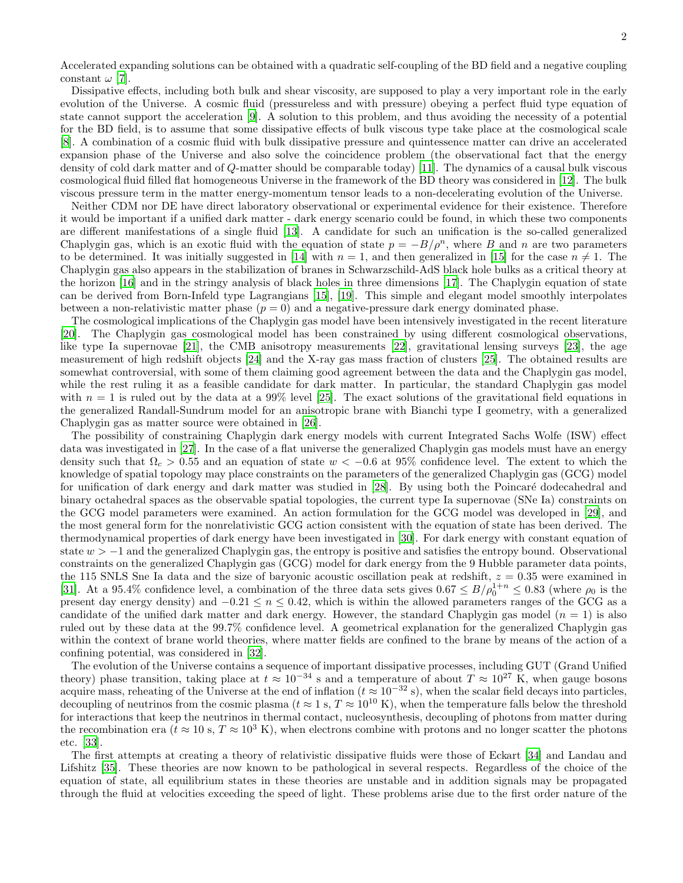Accelerated expanding solutions can be obtained with a quadratic self-coupling of the BD field and a negative coupling constant  $\omega$  [\[7\]](#page-12-6).

Dissipative effects, including both bulk and shear viscosity, are supposed to play a very important role in the early evolution of the Universe. A cosmic fluid (pressureless and with pressure) obeying a perfect fluid type equation of state cannot support the acceleration [\[9\]](#page-12-8). A solution to this problem, and thus avoiding the necessity of a potential for the BD field, is to assume that some dissipative effects of bulk viscous type take place at the cosmological scale [\[8\]](#page-12-7). A combination of a cosmic fluid with bulk dissipative pressure and quintessence matter can drive an accelerated expansion phase of the Universe and also solve the coincidence problem (the observational fact that the energy density of cold dark matter and of Q-matter should be comparable today) [\[11\]](#page-12-9). The dynamics of a causal bulk viscous cosmological fluid filled flat homogeneous Universe in the framework of the BD theory was considered in [\[12\]](#page-12-10). The bulk viscous pressure term in the matter energy-momentum tensor leads to a non-decelerating evolution of the Universe.

Neither CDM nor DE have direct laboratory observational or experimental evidence for their existence. Therefore it would be important if a unified dark matter - dark energy scenario could be found, in which these two components are different manifestations of a single fluid [\[13\]](#page-12-11). A candidate for such an unification is the so-called generalized Chaplygin gas, which is an exotic fluid with the equation of state  $p = -B/\rho^n$ , where B and n are two parameters to be determined. It was initially suggested in [\[14](#page-12-12)] with  $n = 1$ , and then generalized in [\[15](#page-12-13)] for the case  $n \neq 1$ . The Chaplygin gas also appears in the stabilization of branes in Schwarzschild-AdS black hole bulks as a critical theory at the horizon [\[16\]](#page-12-14) and in the stringy analysis of black holes in three dimensions [\[17\]](#page-12-15). The Chaplygin equation of state can be derived from Born-Infeld type Lagrangians [\[15](#page-12-13)], [\[19](#page-13-0)]. This simple and elegant model smoothly interpolates between a non-relativistic matter phase  $(p = 0)$  and a negative-pressure dark energy dominated phase.

The cosmological implications of the Chaplygin gas model have been intensively investigated in the recent literature [\[20\]](#page-13-1). The Chaplygin gas cosmological model has been constrained by using different cosmological observations, like type Ia supernovae [\[21\]](#page-13-2), the CMB anisotropy measurements [\[22](#page-13-3)], gravitational lensing surveys [\[23](#page-13-4)], the age measurement of high redshift objects [\[24\]](#page-13-5) and the X-ray gas mass fraction of clusters [\[25](#page-13-6)]. The obtained results are somewhat controversial, with some of them claiming good agreement between the data and the Chaplygin gas model, while the rest ruling it as a feasible candidate for dark matter. In particular, the standard Chaplygin gas model with  $n = 1$  is ruled out by the data at a 99% level [\[25\]](#page-13-6). The exact solutions of the gravitational field equations in the generalized Randall-Sundrum model for an anisotropic brane with Bianchi type I geometry, with a generalized Chaplygin gas as matter source were obtained in [\[26\]](#page-13-7).

The possibility of constraining Chaplygin dark energy models with current Integrated Sachs Wolfe (ISW) effect data was investigated in [\[27\]](#page-13-8). In the case of a flat universe the generalized Chaplygin gas models must have an energy density such that  $\Omega_c > 0.55$  and an equation of state  $w < -0.6$  at 95% confidence level. The extent to which the knowledge of spatial topology may place constraints on the parameters of the generalized Chaplygin gas (GCG) model for unification of dark energy and dark matter was studied in [\[28\]](#page-13-9). By using both the Poincaré dodecahedral and binary octahedral spaces as the observable spatial topologies, the current type Ia supernovae (SNe Ia) constraints on the GCG model parameters were examined. An action formulation for the GCG model was developed in [\[29\]](#page-13-10), and the most general form for the nonrelativistic GCG action consistent with the equation of state has been derived. The thermodynamical properties of dark energy have been investigated in [\[30\]](#page-13-11). For dark energy with constant equation of state  $w > -1$  and the generalized Chaplygin gas, the entropy is positive and satisfies the entropy bound. Observational constraints on the generalized Chaplygin gas (GCG) model for dark energy from the 9 Hubble parameter data points, the 115 SNLS Sne Ia data and the size of baryonic acoustic oscillation peak at redshift,  $z = 0.35$  were examined in [\[31\]](#page-13-12). At a 95.4% confidence level, a combination of the three data sets gives  $0.67 \le B/\rho_0^{1+n} \le 0.83$  (where  $\rho_0$  is the present day energy density) and  $-0.21 \le n \le 0.42$ , which is within the allowed parameters ranges of the GCG as a candidate of the unified dark matter and dark energy. However, the standard Chaplygin gas model  $(n = 1)$  is also ruled out by these data at the 99.7% confidence level. A geometrical explanation for the generalized Chaplygin gas within the context of brane world theories, where matter fields are confined to the brane by means of the action of a confining potential, was considered in [\[32\]](#page-13-13).

The evolution of the Universe contains a sequence of important dissipative processes, including GUT (Grand Unified theory) phase transition, taking place at  $t \approx 10^{-34}$  s and a temperature of about  $T \approx 10^{27}$  K, when gauge bosons acquire mass, reheating of the Universe at the end of inflation ( $t \approx 10^{-32}$  s), when the scalar field decays into particles, decoupling of neutrinos from the cosmic plasma ( $t \approx 1$  s,  $T \approx 10^{10}$  K), when the temperature falls below the threshold for interactions that keep the neutrinos in thermal contact, nucleosynthesis, decoupling of photons from matter during the recombination era ( $t \approx 10$  s,  $T \approx 10^3$  K), when electrons combine with protons and no longer scatter the photons etc. [\[33\]](#page-13-14).

The first attempts at creating a theory of relativistic dissipative fluids were those of Eckart [\[34](#page-13-15)] and Landau and Lifshitz [\[35](#page-13-16)]. These theories are now known to be pathological in several respects. Regardless of the choice of the equation of state, all equilibrium states in these theories are unstable and in addition signals may be propagated through the fluid at velocities exceeding the speed of light. These problems arise due to the first order nature of the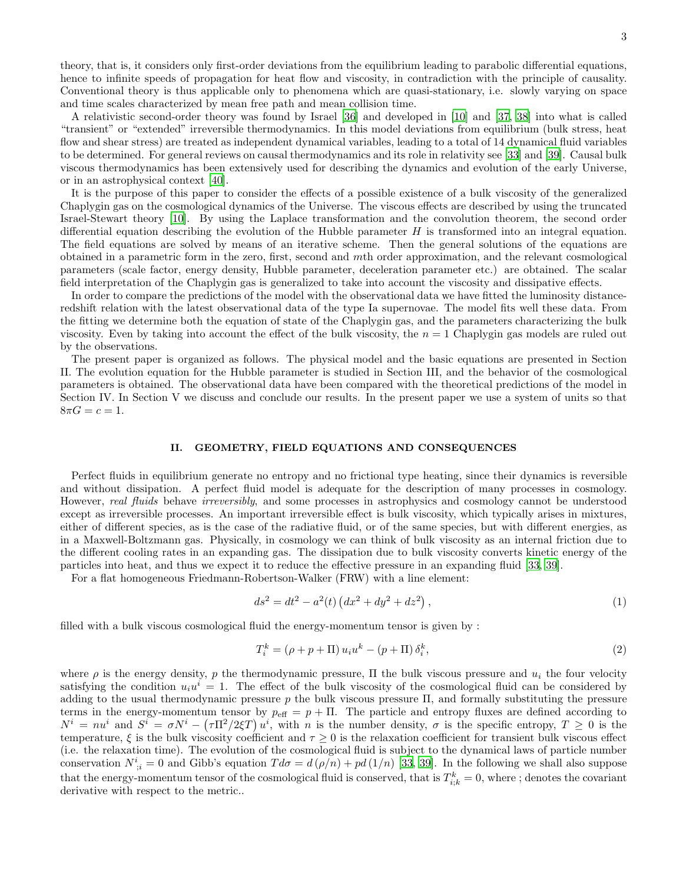theory, that is, it considers only first-order deviations from the equilibrium leading to parabolic differential equations, hence to infinite speeds of propagation for heat flow and viscosity, in contradiction with the principle of causality. Conventional theory is thus applicable only to phenomena which are quasi-stationary, i.e. slowly varying on space and time scales characterized by mean free path and mean collision time.

A relativistic second-order theory was found by Israel [\[36\]](#page-13-17) and developed in [\[10](#page-12-16)] and [\[37,](#page-13-18) [38\]](#page-13-19) into what is called "transient" or "extended" irreversible thermodynamics. In this model deviations from equilibrium (bulk stress, heat flow and shear stress) are treated as independent dynamical variables, leading to a total of 14 dynamical fluid variables to be determined. For general reviews on causal thermodynamics and its role in relativity see [\[33](#page-13-14)] and [\[39\]](#page-13-20). Causal bulk viscous thermodynamics has been extensively used for describing the dynamics and evolution of the early Universe, or in an astrophysical context [\[40\]](#page-13-21).

It is the purpose of this paper to consider the effects of a possible existence of a bulk viscosity of the generalized Chaplygin gas on the cosmological dynamics of the Universe. The viscous effects are described by using the truncated Israel-Stewart theory [\[10\]](#page-12-16). By using the Laplace transformation and the convolution theorem, the second order differential equation describing the evolution of the Hubble parameter  $H$  is transformed into an integral equation. The field equations are solved by means of an iterative scheme. Then the general solutions of the equations are obtained in a parametric form in the zero, first, second and mth order approximation, and the relevant cosmological parameters (scale factor, energy density, Hubble parameter, deceleration parameter etc.) are obtained. The scalar field interpretation of the Chaplygin gas is generalized to take into account the viscosity and dissipative effects.

In order to compare the predictions of the model with the observational data we have fitted the luminosity distanceredshift relation with the latest observational data of the type Ia supernovae. The model fits well these data. From the fitting we determine both the equation of state of the Chaplygin gas, and the parameters characterizing the bulk viscosity. Even by taking into account the effect of the bulk viscosity, the  $n = 1$  Chaplygin gas models are ruled out by the observations.

The present paper is organized as follows. The physical model and the basic equations are presented in Section II. The evolution equation for the Hubble parameter is studied in Section III, and the behavior of the cosmological parameters is obtained. The observational data have been compared with the theoretical predictions of the model in Section IV. In Section V we discuss and conclude our results. In the present paper we use a system of units so that  $8\pi G = c = 1.$ 

### II. GEOMETRY, FIELD EQUATIONS AND CONSEQUENCES

Perfect fluids in equilibrium generate no entropy and no frictional type heating, since their dynamics is reversible and without dissipation. A perfect fluid model is adequate for the description of many processes in cosmology. However, real fluids behave irreversibly, and some processes in astrophysics and cosmology cannot be understood except as irreversible processes. An important irreversible effect is bulk viscosity, which typically arises in mixtures, either of different species, as is the case of the radiative fluid, or of the same species, but with different energies, as in a Maxwell-Boltzmann gas. Physically, in cosmology we can think of bulk viscosity as an internal friction due to the different cooling rates in an expanding gas. The dissipation due to bulk viscosity converts kinetic energy of the particles into heat, and thus we expect it to reduce the effective pressure in an expanding fluid [\[33,](#page-13-14) [39\]](#page-13-20).

For a flat homogeneous Friedmann-Robertson-Walker (FRW) with a line element:

$$
ds^{2} = dt^{2} - a^{2}(t) \left( dx^{2} + dy^{2} + dz^{2} \right),
$$
\n(1)

filled with a bulk viscous cosmological fluid the energy-momentum tensor is given by :

$$
T_i^k = (\rho + p + \Pi) u_i u^k - (p + \Pi) \delta_i^k, \qquad (2)
$$

where  $\rho$  is the energy density, p the thermodynamic pressure,  $\Pi$  the bulk viscous pressure and  $u_i$  the four velocity satisfying the condition  $u_i u^i = 1$ . The effect of the bulk viscosity of the cosmological fluid can be considered by adding to the usual thermodynamic pressure  $p$  the bulk viscous pressure  $\Pi$ , and formally substituting the pressure terms in the energy-momentum tensor by  $p_{\text{eff}} = p + \Pi$ . The particle and entropy fluxes are defined according to  $N^i = nu^i$  and  $S^i = \sigma N^i - (\tau \Pi^2/2\xi T)u^i$ , with n is the number density,  $\sigma$  is the specific entropy,  $T \geq 0$  is the temperature,  $\xi$  is the bulk viscosity coefficient and  $\tau \geq 0$  is the relaxation coefficient for transient bulk viscous effect (i.e. the relaxation time). The evolution of the cosmological fluid is subject to the dynamical laws of particle number conservation  $N^i_{\;i} = 0$  and Gibb's equation  $Td\sigma = d(\rho/n) + pd(1/n)$  [\[33](#page-13-14), [39\]](#page-13-20). In the following we shall also suppose that the energy-momentum tensor of the cosmological fluid is conserved, that is  $T_{i;k}^k = 0$ , where ; denotes the covariant derivative with respect to the metric..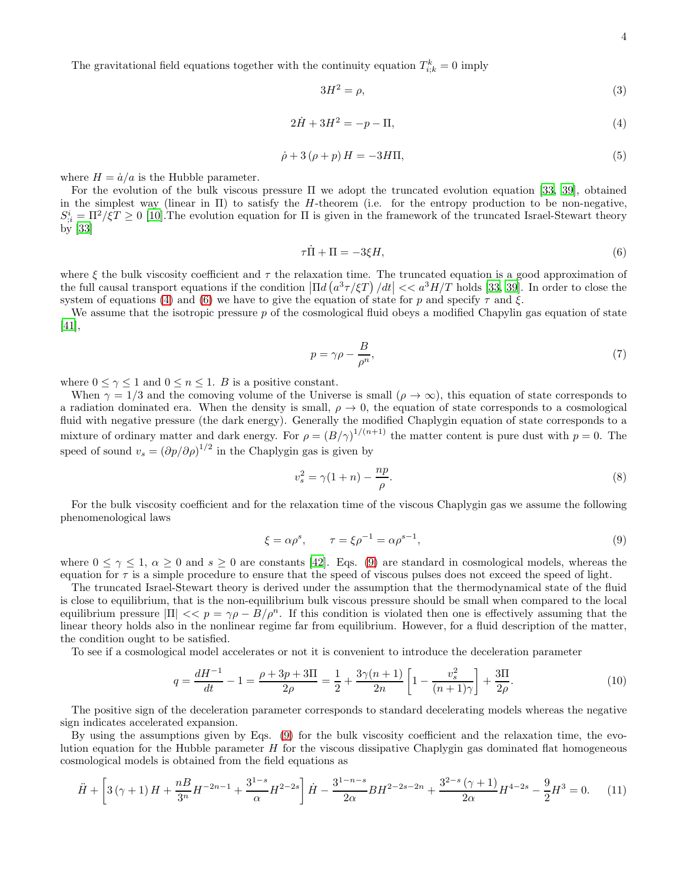The gravitational field equations together with the continuity equation  $T_{i,k}^k = 0$  imply

$$
3H^2 = \rho,\tag{3}
$$

<span id="page-3-0"></span>
$$
2\dot{H} + 3H^2 = -p - \Pi,\tag{4}
$$

$$
\dot{\rho} + 3(\rho + p)H = -3H\Pi,\tag{5}
$$

where  $H = \dot{a}/a$  is the Hubble parameter.

For the evolution of the bulk viscous pressure Π we adopt the truncated evolution equation [\[33,](#page-13-14) [39](#page-13-20)], obtained in the simplest way (linear in  $\Pi$ ) to satisfy the H-theorem (i.e. for the entropy production to be non-negative,  $S_{\mathcal{E}}^i = \Pi^2 / \xi T \ge 0$  [\[10\]](#page-12-16). The evolution equation for  $\Pi$  is given in the framework of the truncated Israel-Stewart theory by [\[33\]](#page-13-14)

<span id="page-3-1"></span>
$$
\tau \dot{\Pi} + \Pi = -3\xi H,\tag{6}
$$

where  $\xi$  the bulk viscosity coefficient and  $\tau$  the relaxation time. The truncated equation is a good approximation of the full causal transport equations if the condition  $\left|\Pi d\left(a^3\tau/\xi T\right)/dt\right| \ll a^3H/T$  holds [\[33,](#page-13-14) [39](#page-13-20)]. In order to close the system of equations [\(4\)](#page-3-0) and [\(6\)](#page-3-1) we have to give the equation of state for p and specify  $\tau$  and  $\xi$ .

We assume that the isotropic pressure  $p$  of the cosmological fluid obeys a modified Chapylin gas equation of state [\[41\]](#page-13-22),

$$
p = \gamma \rho - \frac{B}{\rho^n},\tag{7}
$$

where  $0 \leq \gamma \leq 1$  and  $0 \leq n \leq 1$ . B is a positive constant.

When  $\gamma = 1/3$  and the comoving volume of the Universe is small  $(\rho \to \infty)$ , this equation of state corresponds to a radiation dominated era. When the density is small,  $\rho \to 0$ , the equation of state corresponds to a cosmological fluid with negative pressure (the dark energy). Generally the modified Chaplygin equation of state corresponds to a mixture of ordinary matter and dark energy. For  $\rho = (B/\gamma)^{1/(n+1)}$  the matter content is pure dust with  $p = 0$ . The speed of sound  $v_s = (\partial p/\partial \rho)^{1/2}$  in the Chaplygin gas is given by

$$
v_s^2 = \gamma (1+n) - \frac{np}{\rho}.\tag{8}
$$

For the bulk viscosity coefficient and for the relaxation time of the viscous Chaplygin gas we assume the following phenomenological laws

<span id="page-3-2"></span>
$$
\xi = \alpha \rho^s, \qquad \tau = \xi \rho^{-1} = \alpha \rho^{s-1}, \tag{9}
$$

where  $0 \leq \gamma \leq 1$ ,  $\alpha \geq 0$  and  $s \geq 0$  are constants [\[42](#page-13-23)]. Eqs. [\(9\)](#page-3-2) are standard in cosmological models, whereas the equation for  $\tau$  is a simple procedure to ensure that the speed of viscous pulses does not exceed the speed of light.

The truncated Israel-Stewart theory is derived under the assumption that the thermodynamical state of the fluid is close to equilibrium, that is the non-equilibrium bulk viscous pressure should be small when compared to the local equilibrium pressure  $|\Pi| \ll p = \gamma \rho - B/\rho^n$ . If this condition is violated then one is effectively assuming that the linear theory holds also in the nonlinear regime far from equilibrium. However, for a fluid description of the matter, the condition ought to be satisfied.

To see if a cosmological model accelerates or not it is convenient to introduce the deceleration parameter

$$
q = \frac{dH^{-1}}{dt} - 1 = \frac{\rho + 3p + 3\Pi}{2\rho} = \frac{1}{2} + \frac{3\gamma(n+1)}{2n} \left[ 1 - \frac{v_s^2}{(n+1)\gamma} \right] + \frac{3\Pi}{2\rho}.
$$
 (10)

The positive sign of the deceleration parameter corresponds to standard decelerating models whereas the negative sign indicates accelerated expansion.

By using the assumptions given by Eqs. [\(9\)](#page-3-2) for the bulk viscosity coefficient and the relaxation time, the evolution equation for the Hubble parameter  $H$  for the viscous dissipative Chaplygin gas dominated flat homogeneous cosmological models is obtained from the field equations as

<span id="page-3-3"></span>
$$
\ddot{H} + \left[3\left(\gamma + 1\right)H + \frac{n}{3^{n}}H^{-2n-1} + \frac{3^{1-s}}{\alpha}H^{2-2s}\right]\dot{H} - \frac{3^{1-n-s}}{2\alpha}BH^{2-2s-2n} + \frac{3^{2-s}\left(\gamma + 1\right)}{2\alpha}H^{4-2s} - \frac{9}{2}H^{3} = 0. \tag{11}
$$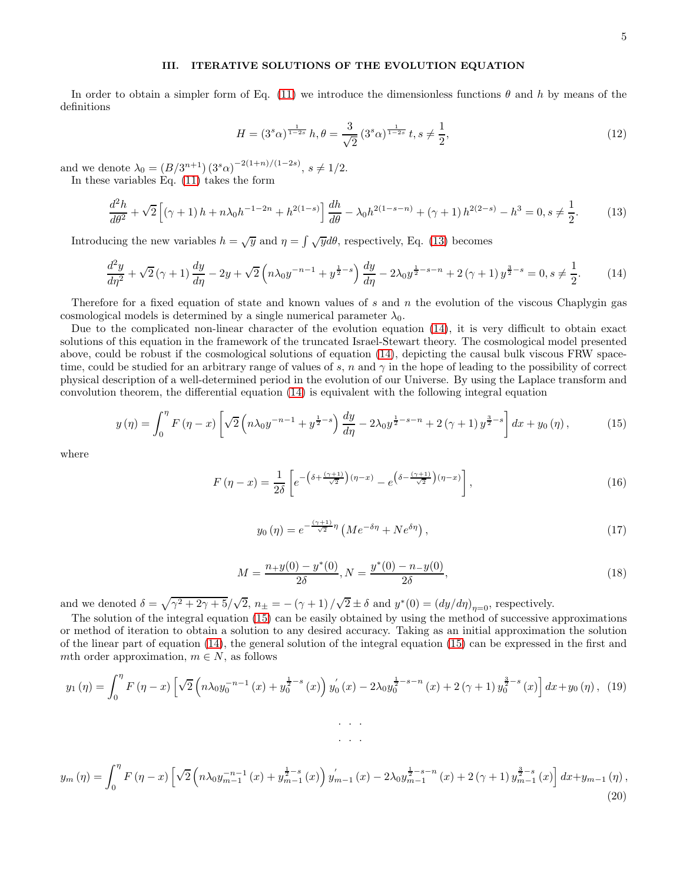# III. ITERATIVE SOLUTIONS OF THE EVOLUTION EQUATION

In order to obtain a simpler form of Eq. [\(11\)](#page-3-3) we introduce the dimensionless functions  $\theta$  and h by means of the definitions

<span id="page-4-3"></span>
$$
H = (3s\alpha)^{\frac{1}{1-2s}} h, \theta = \frac{3}{\sqrt{2}} (3s\alpha)^{\frac{1}{1-2s}} t, s \neq \frac{1}{2},
$$
\n(12)

and we denote  $\lambda_0 = (B/3^{n+1}) (3^s \alpha)^{-2(1+n)/(1-2s)}, s \neq 1/2.$ In these variables Eq. [\(11\)](#page-3-3) takes the form

> <span id="page-4-0"></span> $d^2h$  $\frac{d^2h}{d\theta^2} + \sqrt{2}\left[ (\gamma+1) h + n\lambda_0 h^{-1-2n} + h^{2(1-s)} \right] \frac{dh}{d\theta} - \lambda_0 h^{2(1-s-n)} + (\gamma+1) h^{2(2-s)} - h^3 = 0, s \neq \frac{1}{2}$ 2

Introducing the new variables  $h = \sqrt{y}$  and  $\eta = \int \sqrt{y} d\theta$ , respectively, Eq. [\(13\)](#page-4-0) becomes

<span id="page-4-1"></span>
$$
\frac{d^2y}{d\eta^2} + \sqrt{2}(\gamma + 1)\frac{dy}{d\eta} - 2y + \sqrt{2}\left(n\lambda_0 y^{-n-1} + y^{\frac{1}{2} - s}\right)\frac{dy}{d\eta} - 2\lambda_0 y^{\frac{1}{2} - s - n} + 2(\gamma + 1)y^{\frac{3}{2} - s} = 0, s \neq \frac{1}{2}.\tag{14}
$$

Therefore for a fixed equation of state and known values of s and n the evolution of the viscous Chaplygin gas cosmological models is determined by a single numerical parameter  $\lambda_0$ .

Due to the complicated non-linear character of the evolution equation [\(14\)](#page-4-1), it is very difficult to obtain exact solutions of this equation in the framework of the truncated Israel-Stewart theory. The cosmological model presented above, could be robust if the cosmological solutions of equation [\(14\)](#page-4-1), depicting the causal bulk viscous FRW spacetime, could be studied for an arbitrary range of values of s, n and  $\gamma$  in the hope of leading to the possibility of correct physical description of a well-determined period in the evolution of our Universe. By using the Laplace transform and convolution theorem, the differential equation [\(14\)](#page-4-1) is equivalent with the following integral equation

<span id="page-4-2"></span>
$$
y(\eta) = \int_0^{\eta} F(\eta - x) \left[ \sqrt{2} \left( n \lambda_0 y^{-n-1} + y^{\frac{1}{2} - s} \right) \frac{dy}{d\eta} - 2 \lambda_0 y^{\frac{1}{2} - s - n} + 2 (\gamma + 1) y^{\frac{3}{2} - s} \right] dx + y_0(\eta), \tag{15}
$$

where

$$
F\left(\eta - x\right) = \frac{1}{2\delta} \left[ e^{-\left(\delta + \frac{\left(\gamma + 1\right)}{\sqrt{2}}\right)\left(\eta - x\right)} - e^{\left(\delta - \frac{\left(\gamma + 1\right)}{\sqrt{2}}\right)\left(\eta - x\right)} \right],\tag{16}
$$

$$
y_0(\eta) = e^{-\frac{(\gamma+1)}{\sqrt{2}}\eta} \left( Me^{-\delta\eta} + Ne^{\delta\eta} \right),\tag{17}
$$

$$
M = \frac{n_{+}y(0) - y^{*}(0)}{2\delta}, N = \frac{y^{*}(0) - n_{-}y(0)}{2\delta},
$$
\n(18)

and we denoted  $\delta = \sqrt{\gamma^2 + 2\gamma + 5}/\sqrt{2}$ ,  $n_{\pm} = -(\gamma + 1)/\sqrt{2} \pm \delta$  and  $y^*(0) = (dy/d\eta)_{\eta=0}$ , respectively.

The solution of the integral equation [\(15\)](#page-4-2) can be easily obtained by using the method of successive approximations or method of iteration to obtain a solution to any desired accuracy. Taking as an initial approximation the solution of the linear part of equation [\(14\)](#page-4-1), the general solution of the integral equation [\(15\)](#page-4-2) can be expressed in the first and mth order approximation,  $m \in N$ , as follows

$$
y_1(\eta) = \int_0^{\eta} F(\eta - x) \left[ \sqrt{2} \left( n \lambda_0 y_0^{-n-1} (x) + y_0^{\frac{1}{2} - s} (x) \right) y_0'(x) - 2 \lambda_0 y_0^{\frac{1}{2} - s - n} (x) + 2 (\gamma + 1) y_0^{\frac{3}{2} - s} (x) \right] dx + y_0(\eta), \tag{19}
$$

. . .

$$
y_m(\eta) = \int_0^{\eta} F(\eta - x) \left[ \sqrt{2} \left( n \lambda_0 y_{m-1}^{-n-1} (x) + y_{m-1}^{\frac{1}{2}-s} (x) \right) y'_{m-1} (x) - 2 \lambda_0 y_{m-1}^{\frac{1}{2}-s-n} (x) + 2 (\gamma + 1) y_{m-1}^{\frac{3}{2}-s} (x) \right] dx + y_{m-1}(\eta) ,
$$
\n(20)

 $(13)$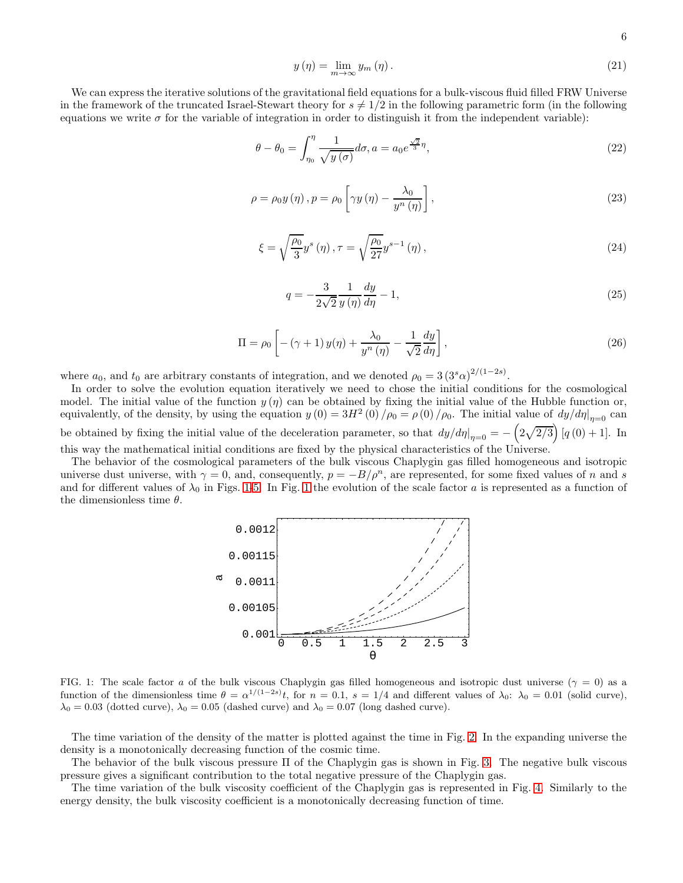$$
y(\eta) = \lim_{m \to \infty} y_m(\eta). \tag{21}
$$

We can express the iterative solutions of the gravitational field equations for a bulk-viscous fluid filled FRW Universe in the framework of the truncated Israel-Stewart theory for  $s \neq 1/2$  in the following parametric form (in the following equations we write  $\sigma$  for the variable of integration in order to distinguish it from the independent variable):

$$
\theta - \theta_0 = \int_{\eta_0}^{\eta} \frac{1}{\sqrt{y(\sigma)}} d\sigma, a = a_0 e^{\frac{\sqrt{2}}{3}\eta}, \qquad (22)
$$

$$
\rho = \rho_0 y(\eta), p = \rho_0 \left[ \gamma y(\eta) - \frac{\lambda_0}{y^n(\eta)} \right],
$$
\n(23)

$$
\xi = \sqrt{\frac{\rho_0}{3}} y^s \left( \eta \right), \tau = \sqrt{\frac{\rho_0}{27}} y^{s-1} \left( \eta \right), \tag{24}
$$

$$
q = -\frac{3}{2\sqrt{2}}\frac{1}{y\left(\eta\right)}\frac{dy}{d\eta} - 1,\tag{25}
$$

$$
\Pi = \rho_0 \left[ -(\gamma + 1) y(\eta) + \frac{\lambda_0}{y^n (\eta)} - \frac{1}{\sqrt{2}} \frac{dy}{d\eta} \right],\tag{26}
$$

where  $a_0$ , and  $t_0$  are arbitrary constants of integration, and we denoted  $\rho_0 = 3 (3^s \alpha)^{2/(1-2s)}$ .

In order to solve the evolution equation iteratively we need to chose the initial conditions for the cosmological model. The initial value of the function  $y(\eta)$  can be obtained by fixing the initial value of the Hubble function or, equivalently, of the density, by using the equation  $y(0) = 3H^2(0)/\rho_0 = \rho(0)/\rho_0$ . The initial value of  $dy/d\eta|_{\eta=0}$  can be obtained by fixing the initial value of the deceleration parameter, so that  $dy/d\eta|_{\eta=0} = -\left(2\sqrt{2/3}\right)[q(0)+1]$ . In this way the mathematical initial conditions are fixed by the physical characteristics of the Universe.

The behavior of the cosmological parameters of the bulk viscous Chaplygin gas filled homogeneous and isotropic universe dust universe, with  $\gamma = 0$ , and, consequently,  $p = -B/\rho^n$ , are represented, for some fixed values of n and s and for different values of  $\lambda_0$  in Figs. [1](#page-5-0)[-5.](#page-7-0) In Fig. 1 the evolution of the scale factor a is represented as a function of the dimensionless time  $\theta$ .



<span id="page-5-0"></span>FIG. 1: The scale factor a of the bulk viscous Chaplygin gas filled homogeneous and isotropic dust universe ( $\gamma = 0$ ) as a function of the dimensionless time  $\theta = \alpha^{1/(1-2s)}t$ , for  $n = 0.1$ ,  $s = 1/4$  and different values of  $\lambda_0$ :  $\lambda_0 = 0.01$  (solid curve),  $\lambda_0 = 0.03$  (dotted curve),  $\lambda_0 = 0.05$  (dashed curve) and  $\lambda_0 = 0.07$  (long dashed curve).

The time variation of the density of the matter is plotted against the time in Fig. [2.](#page-6-0) In the expanding universe the density is a monotonically decreasing function of the cosmic time.

The behavior of the bulk viscous pressure Π of the Chaplygin gas is shown in Fig. [3.](#page-6-1) The negative bulk viscous pressure gives a significant contribution to the total negative pressure of the Chaplygin gas.

The time variation of the bulk viscosity coefficient of the Chaplygin gas is represented in Fig. [4.](#page-6-2) Similarly to the energy density, the bulk viscosity coefficient is a monotonically decreasing function of time.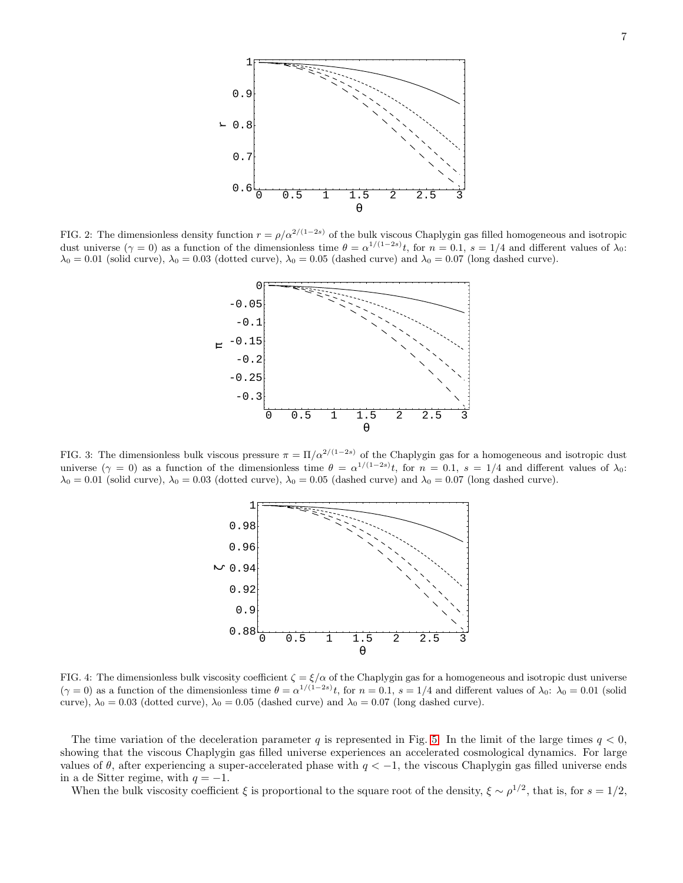

<span id="page-6-0"></span>FIG. 2: The dimensionless density function  $r = \rho/\alpha^{2/(1-2s)}$  of the bulk viscous Chaplygin gas filled homogeneous and isotropic dust universe  $(\gamma = 0)$  as a function of the dimensionless time  $\theta = \alpha^{1/(1-2s)}t$ , for  $n = 0.1$ ,  $s = 1/4$  and different values of  $\lambda_0$ :  $\lambda_0 = 0.01$  (solid curve),  $\lambda_0 = 0.03$  (dotted curve),  $\lambda_0 = 0.05$  (dashed curve) and  $\lambda_0 = 0.07$  (long dashed curve).



<span id="page-6-1"></span>FIG. 3: The dimensionless bulk viscous pressure  $\pi = \Pi/a^{2/(1-2s)}$  of the Chaplygin gas for a homogeneous and isotropic dust universe  $(\gamma = 0)$  as a function of the dimensionless time  $\theta = \alpha^{1/(1-2s)}t$ , for  $n = 0.1$ ,  $s = 1/4$  and different values of  $\lambda_0$ :  $\lambda_0 = 0.01$  (solid curve),  $\lambda_0 = 0.03$  (dotted curve),  $\lambda_0 = 0.05$  (dashed curve) and  $\lambda_0 = 0.07$  (long dashed curve).



<span id="page-6-2"></span>FIG. 4: The dimensionless bulk viscosity coefficient  $\zeta = \xi/\alpha$  of the Chaplygin gas for a homogeneous and isotropic dust universe  $(\gamma = 0)$  as a function of the dimensionless time  $\theta = \alpha^{1/(1-2s)}t$ , for  $n = 0.1$ ,  $s = 1/4$  and different values of  $\lambda_0$ :  $\lambda_0 = 0.01$  (solid curve),  $\lambda_0 = 0.03$  (dotted curve),  $\lambda_0 = 0.05$  (dashed curve) and  $\lambda_0 = 0.07$  (long dashed curve).

The time variation of the deceleration parameter q is represented in Fig. [5.](#page-7-0) In the limit of the large times  $q < 0$ , showing that the viscous Chaplygin gas filled universe experiences an accelerated cosmological dynamics. For large values of  $\theta$ , after experiencing a super-accelerated phase with  $q < -1$ , the viscous Chaplygin gas filled universe ends in a de Sitter regime, with  $q = -1$ .

When the bulk viscosity coefficient  $\xi$  is proportional to the square root of the density,  $\xi \sim \rho^{1/2}$ , that is, for  $s = 1/2$ ,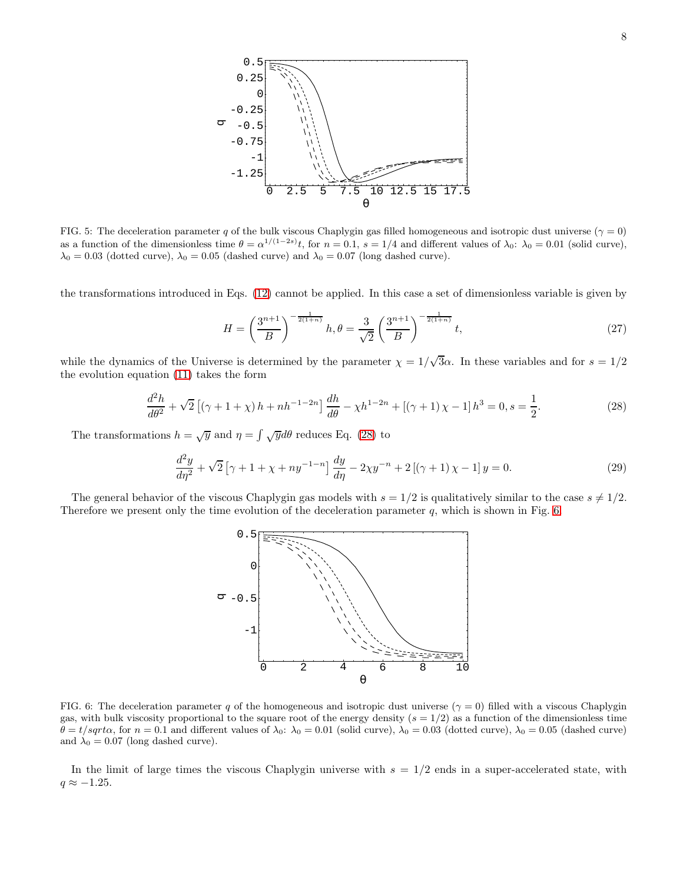

<span id="page-7-0"></span>FIG. 5: The deceleration parameter q of the bulk viscous Chaplygin gas filled homogeneous and isotropic dust universe ( $\gamma = 0$ ) as a function of the dimensionless time  $\theta = \alpha^{1/(1-2s)}t$ , for  $n = 0.1$ ,  $s = 1/4$  and different values of  $\lambda_0$ :  $\lambda_0 = 0.01$  (solid curve),  $\lambda_0 = 0.03$  (dotted curve),  $\lambda_0 = 0.05$  (dashed curve) and  $\lambda_0 = 0.07$  (long dashed curve).

the transformations introduced in Eqs. [\(12\)](#page-4-3) cannot be applied. In this case a set of dimensionless variable is given by

$$
H = \left(\frac{3^{n+1}}{B}\right)^{-\frac{1}{2(1+n)}} h, \theta = \frac{3}{\sqrt{2}} \left(\frac{3^{n+1}}{B}\right)^{-\frac{1}{2(1+n)}} t,
$$
\n(27)

while the dynamics of the Universe is determined by the parameter  $\chi = 1/\sqrt{3}\alpha$ . In these variables and for  $s = 1/2$ the evolution equation [\(11\)](#page-3-3) takes the form

<span id="page-7-1"></span>
$$
\frac{d^2h}{d\theta^2} + \sqrt{2}\left[ (\gamma + 1 + \chi)h + nh^{-1-2n} \right] \frac{dh}{d\theta} - \chi h^{1-2n} + \left[ (\gamma + 1)\chi - 1 \right] h^3 = 0, s = \frac{1}{2}.
$$
 (28)

The transformations  $h = \sqrt{y}$  and  $\eta = \int \sqrt{y} d\theta$  reduces Eq. [\(28\)](#page-7-1) to

$$
\frac{d^2y}{d\eta^2} + \sqrt{2} \left[ \gamma + 1 + \chi + n y^{-1-n} \right] \frac{dy}{d\eta} - 2\chi y^{-n} + 2 \left[ (\gamma + 1)\chi - 1 \right] y = 0. \tag{29}
$$

The general behavior of the viscous Chaplygin gas models with  $s = 1/2$  is qualitatively similar to the case  $s \neq 1/2$ . Therefore we present only the time evolution of the deceleration parameter  $q$ , which is shown in Fig. [6.](#page-7-2)



<span id="page-7-2"></span>FIG. 6: The deceleration parameter q of the homogeneous and isotropic dust universe ( $\gamma = 0$ ) filled with a viscous Chaplygin gas, with bulk viscosity proportional to the square root of the energy density  $(s = 1/2)$  as a function of the dimensionless time  $\theta = t/sqrt\alpha$ , for  $n = 0.1$  and different values of  $\lambda_0$ :  $\lambda_0 = 0.01$  (solid curve),  $\lambda_0 = 0.03$  (dotted curve),  $\lambda_0 = 0.05$  (dashed curve) and  $\lambda_0 = 0.07$  (long dashed curve).

In the limit of large times the viscous Chaplygin universe with  $s = 1/2$  ends in a super-accelerated state, with  $q \approx -1.25$ .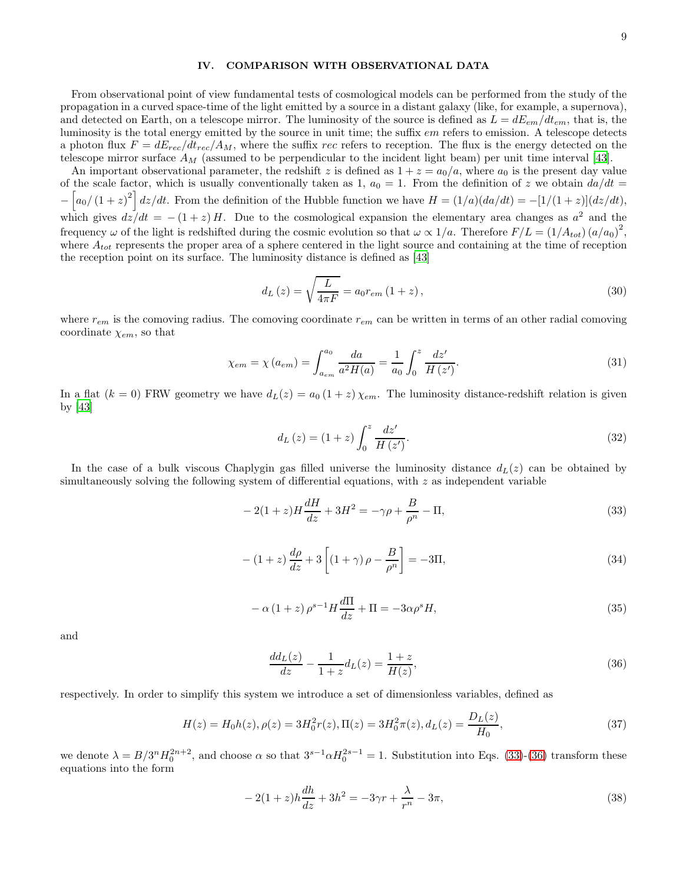### IV. COMPARISON WITH OBSERVATIONAL DATA

From observational point of view fundamental tests of cosmological models can be performed from the study of the propagation in a curved space-time of the light emitted by a source in a distant galaxy (like, for example, a supernova), and detected on Earth, on a telescope mirror. The luminosity of the source is defined as  $L = dE_{em}/dt_{em}$ , that is, the luminosity is the total energy emitted by the source in unit time; the suffix  $em$  refers to emission. A telescope detects a photon flux  $F = dE_{rec}/dt_{rec}/A_M$ , where the suffix rec refers to reception. The flux is the energy detected on the telescope mirror surface  $A_M$  (assumed to be perpendicular to the incident light beam) per unit time interval [\[43](#page-13-24)].

An important observational parameter, the redshift z is defined as  $1 + z = a_0/a$ , where  $a_0$  is the present day value of the scale factor, which is usually conventionally taken as 1,  $a_0 = 1$ . From the definition of z we obtain  $da/dt =$  $-\left[a_0/(1+z)^2\right]dz/dt$ . From the definition of the Hubble function we have  $H = (1/a)(da/dt) = -[1/(1+z)](dz/dt)$ , which gives  $dz/dt = -(1+z)H$ . Due to the cosmological expansion the elementary area changes as  $a^2$  and the frequency  $\omega$  of the light is redshifted during the cosmic evolution so that  $\omega \propto 1/a$ . Therefore  $F/L = (1/A_{tot}) (a/a_0)^2$ , where  $A_{tot}$  represents the proper area of a sphere centered in the light source and containing at the time of reception the reception point on its surface. The luminosity distance is defined as [\[43\]](#page-13-24)

$$
d_{L}\left(z\right) = \sqrt{\frac{L}{4\pi F}} = a_{0}r_{em}\left(1+z\right),\tag{30}
$$

where  $r_{em}$  is the comoving radius. The comoving coordinate  $r_{em}$  can be written in terms of an other radial comoving coordinate  $\chi_{em}$ , so that

$$
\chi_{em} = \chi(a_{em}) = \int_{a_{em}}^{a_0} \frac{da}{a^2 H(a)} = \frac{1}{a_0} \int_0^z \frac{dz'}{H(z')}.
$$
\n(31)

In a flat  $(k = 0)$  FRW geometry we have  $d_L(z) = a_0 (1 + z) \chi_{em}$ . The luminosity distance-redshift relation is given by [\[43\]](#page-13-24)

$$
d_{L}(z) = (1+z) \int_{0}^{z} \frac{dz'}{H(z')}.
$$
\n(32)

In the case of a bulk viscous Chaplygin gas filled universe the luminosity distance  $d_L(z)$  can be obtained by simultaneously solving the following system of differential equations, with  $z$  as independent variable

<span id="page-8-0"></span>
$$
-2(1+z)H\frac{dH}{dz} + 3H^2 = -\gamma \rho + \frac{B}{\rho^n} - \Pi,
$$
\n(33)

$$
-(1+z)\frac{d\rho}{dz} + 3\left[ (1+\gamma)\rho - \frac{B}{\rho^n} \right] = -3\Pi,
$$
\n(34)

$$
-\alpha\left(1+z\right)\rho^{s-1}H\frac{d\Pi}{dz} + \Pi = -3\alpha\rho^s H,\tag{35}
$$

and

<span id="page-8-1"></span>
$$
\frac{dd_L(z)}{dz} - \frac{1}{1+z}d_L(z) = \frac{1+z}{H(z)},
$$
\n(36)

respectively. In order to simplify this system we introduce a set of dimensionless variables, defined as

$$
H(z) = H_0 h(z), \rho(z) = 3H_0^2 r(z), \Pi(z) = 3H_0^2 \pi(z), d_L(z) = \frac{D_L(z)}{H_0},
$$
\n(37)

we denote  $\lambda = B/3^n H_0^{2n+2}$ , and choose  $\alpha$  so that  $3^{s-1} \alpha H_0^{2s-1} = 1$ . Substitution into Eqs. [\(33\)](#page-8-0)-[\(36\)](#page-8-1) transform these equations into the form

<span id="page-8-2"></span>
$$
-2(1+z)h\frac{dh}{dz} + 3h^2 = -3\gamma r + \frac{\lambda}{r^n} - 3\pi,
$$
\n(38)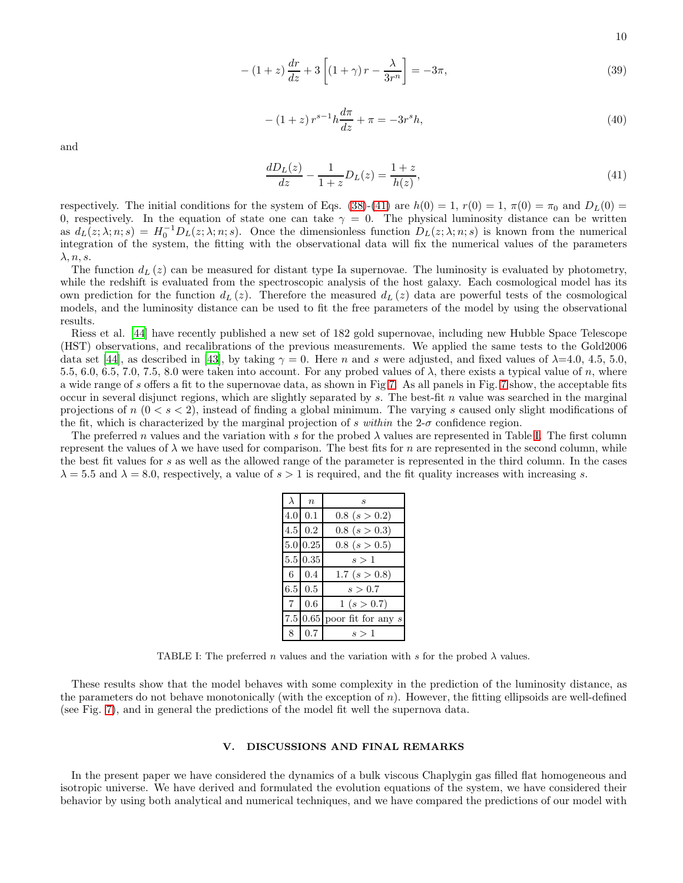10

$$
-(1+z)\frac{dr}{dz} + 3\left[ (1+\gamma)r - \frac{\lambda}{3r^n} \right] = -3\pi,
$$
\n(39)

$$
-(1+z) r^{s-1} h \frac{d\pi}{dz} + \pi = -3r^s h,
$$
\n(40)

and

<span id="page-9-0"></span>
$$
\frac{dD_L(z)}{dz} - \frac{1}{1+z}D_L(z) = \frac{1+z}{h(z)},\tag{41}
$$

respectively. The initial conditions for the system of Eqs. [\(38\)](#page-8-2)-[\(41\)](#page-9-0) are  $h(0) = 1$ ,  $r(0) = 1$ ,  $\pi(0) = \pi_0$  and  $D_L(0) =$ 0, respectively. In the equation of state one can take  $\gamma = 0$ . The physical luminosity distance can be written as  $d_L(z; \lambda; n; s) = H_0^{-1} D_L(z; \lambda; n; s)$ . Once the dimensionless function  $D_L(z; \lambda; n; s)$  is known from the numerical integration of the system, the fitting with the observational data will fix the numerical values of the parameters  $\lambda, n, s.$ 

The function  $d_L(z)$  can be measured for distant type Ia supernovae. The luminosity is evaluated by photometry, while the redshift is evaluated from the spectroscopic analysis of the host galaxy. Each cosmological model has its own prediction for the function  $d_L(z)$ . Therefore the measured  $d_L(z)$  data are powerful tests of the cosmological models, and the luminosity distance can be used to fit the free parameters of the model by using the observational results.

Riess et al. [\[44\]](#page-13-25) have recently published a new set of 182 gold supernovae, including new Hubble Space Telescope (HST) observations, and recalibrations of the previous measurements. We applied the same tests to the Gold2006 data set [\[44](#page-13-25)], as described in [\[43\]](#page-13-24), by taking  $\gamma = 0$ . Here n and s were adjusted, and fixed values of  $\lambda$ =4.0, 4.5, 5.0, 5.5, 6.0, 6.5, 7.0, 7.5, 8.0 were taken into account. For any probed values of  $\lambda$ , there exists a typical value of n, where a wide range of s offers a fit to the supernovae data, as shown in Fig [7.](#page-10-0) As all panels in Fig. [7](#page-10-0) show, the acceptable fits occur in several disjunct regions, which are slightly separated by s. The best-fit n value was searched in the marginal projections of  $n (0 < s < 2)$ , instead of finding a global minimum. The varying s caused only slight modifications of the fit, which is characterized by the marginal projection of s within the  $2-\sigma$  confidence region.

The preferred n values and the variation with s for the probed  $\lambda$  values are represented in Table [I.](#page-9-1) The first column represent the values of  $\lambda$  we have used for comparison. The best fits for n are represented in the second column, while the best fit values for s as well as the allowed range of the parameter is represented in the third column. In the cases  $\lambda = 5.5$  and  $\lambda = 8.0$ , respectively, a value of  $s > 1$  is required, and the fit quality increases with increasing s.

| $\lambda$   | $\boldsymbol{n}$       | S                             |
|-------------|------------------------|-------------------------------|
|             | $4.0\,0.1$             | $0.8$ $(s > 0.2)$             |
|             | $4.5 \,   \, 0.2 \,  $ | $0.8$ (s > 0.3)               |
|             | 5.0 0.25               | $0.8$ (s $> 0.5$ )            |
|             | 5.5 0.35               | s > 1                         |
|             | $6 \t 0.4$             | 1.7 (s $> 0.8$ )              |
|             | $6.5 \,   \, 0.5 \,  $ | s > 0.7                       |
| $7^{\circ}$ | 0.6                    | 1(s > 0.7)                    |
|             |                        | 7.5 0.65 poor fit for any $s$ |
| 8           | 0.7                    | s>1                           |

<span id="page-9-1"></span>TABLE I: The preferred n values and the variation with s for the probed  $\lambda$  values.

These results show that the model behaves with some complexity in the prediction of the luminosity distance, as the parameters do not behave monotonically (with the exception of  $n$ ). However, the fitting ellipsoids are well-defined (see Fig. [7\)](#page-10-0), and in general the predictions of the model fit well the supernova data.

# V. DISCUSSIONS AND FINAL REMARKS

In the present paper we have considered the dynamics of a bulk viscous Chaplygin gas filled flat homogeneous and isotropic universe. We have derived and formulated the evolution equations of the system, we have considered their behavior by using both analytical and numerical techniques, and we have compared the predictions of our model with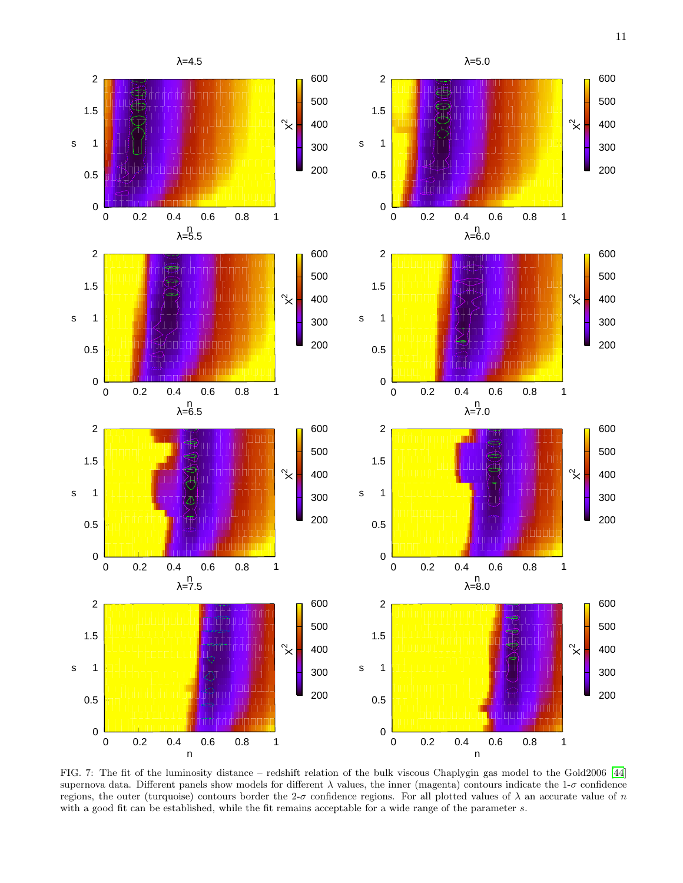

<span id="page-10-0"></span>FIG. 7: The fit of the luminosity distance – redshift relation of the bulk viscous Chaplygin gas model to the Gold2006 [\[44](#page-13-25)] supernova data. Different panels show models for different  $\lambda$  values, the inner (magenta) contours indicate the 1- $\sigma$  confidence regions, the outer (turquoise) contours border the 2- $\sigma$  confidence regions. For all plotted values of  $\lambda$  an accurate value of n with a good fit can be established, while the fit remains acceptable for a wide range of the parameter s.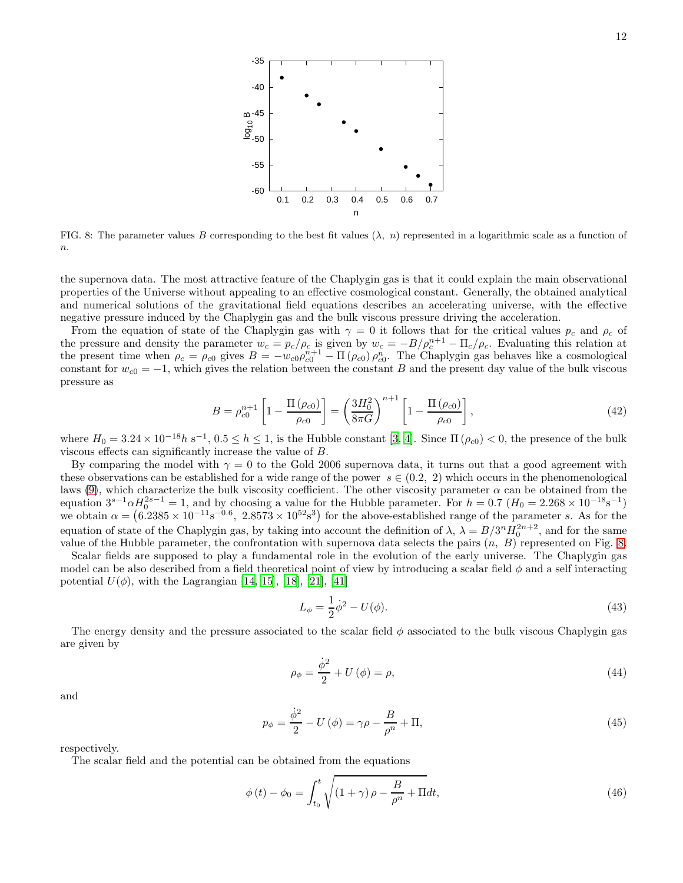

<span id="page-11-0"></span>FIG. 8: The parameter values B corresponding to the best fit values  $(\lambda, n)$  represented in a logarithmic scale as a function of  $n$ .

the supernova data. The most attractive feature of the Chaplygin gas is that it could explain the main observational properties of the Universe without appealing to an effective cosmological constant. Generally, the obtained analytical and numerical solutions of the gravitational field equations describes an accelerating universe, with the effective negative pressure induced by the Chaplygin gas and the bulk viscous pressure driving the acceleration.

From the equation of state of the Chaplygin gas with  $\gamma = 0$  it follows that for the critical values  $p_c$  and  $\rho_c$  of the pressure and density the parameter  $w_c = p_c/\rho_c$  is given by  $w_c = -B/\rho_c^{n+1} - \Pi_c/\rho_c$ . Evaluating this relation at the present time when  $\rho_c = \rho_{c0}$  gives  $B = -w_{c0}\rho_{c0}^{n+1} - \Pi(\rho_{c0})\rho_{c0}^n$ . The Chaplygin gas behaves like a cosmological constant for  $w_{c0} = -1$ , which gives the relation between the constant B and the present day value of the bulk viscous pressure as

$$
B = \rho_{c0}^{n+1} \left[ 1 - \frac{\Pi(\rho_{c0})}{\rho_{c0}} \right] = \left( \frac{3H_0^2}{8\pi G} \right)^{n+1} \left[ 1 - \frac{\Pi(\rho_{c0})}{\rho_{c0}} \right],
$$
\n(42)

where  $H_0 = 3.24 \times 10^{-18} h \text{ s}^{-1}$ ,  $0.5 \le h \le 1$ , is the Hubble constant [\[3](#page-12-2), [4](#page-12-3)]. Since  $\Pi(\rho_{c0}) < 0$ , the presence of the bulk viscous effects can significantly increase the value of B.

By comparing the model with  $\gamma = 0$  to the Gold 2006 supernova data, it turns out that a good agreement with these observations can be established for a wide range of the power  $s \in (0.2, 2)$  which occurs in the phenomenological laws [\(9\)](#page-3-2), which characterize the bulk viscosity coefficient. The other viscosity parameter  $\alpha$  can be obtained from the equation  $3^{s-1}\alpha H_0^{2s-1} = 1$ , and by choosing a value for the Hubble parameter. For  $h = 0.7$   $(H_0 = 2.268 \times 10^{-18} \text{s}^{-1})$ we obtain  $\alpha = (6.2385 \times 10^{-11} \text{s}^{-0.6}, 2.8573 \times 10^{52} \text{s}^3)$  for the above-established range of the parameter s. As for the equation of state of the Chaplygin gas, by taking into account the definition of  $\lambda$ ,  $\lambda = B/3^n H_0^{2n+2}$ , and for the same value of the Hubble parameter, the confrontation with supernova data selects the pairs  $(n, B)$  represented on Fig. [8.](#page-11-0)

Scalar fields are supposed to play a fundamental role in the evolution of the early universe. The Chaplygin gas model can be also described from a field theoretical point of view by introducing a scalar field  $\phi$  and a self interacting potential  $U(\phi)$ , with the Lagrangian [\[14,](#page-12-12) [15\]](#page-12-13), [\[18](#page-12-17)], [\[21\]](#page-13-2), [\[41](#page-13-22)]

$$
L_{\phi} = \frac{1}{2}\dot{\phi}^2 - U(\phi). \tag{43}
$$

The energy density and the pressure associated to the scalar field  $\phi$  associated to the bulk viscous Chaplygin gas are given by

$$
\rho_{\phi} = \frac{\dot{\phi}^2}{2} + U(\phi) = \rho,\tag{44}
$$

and

$$
p_{\phi} = \frac{\dot{\phi}^2}{2} - U(\phi) = \gamma \rho - \frac{B}{\rho^n} + \Pi,
$$
\n(45)

respectively.

The scalar field and the potential can be obtained from the equations

$$
\phi(t) - \phi_0 = \int_{t_0}^t \sqrt{(1+\gamma)\rho - \frac{B}{\rho^n} + \Pi} dt, \tag{46}
$$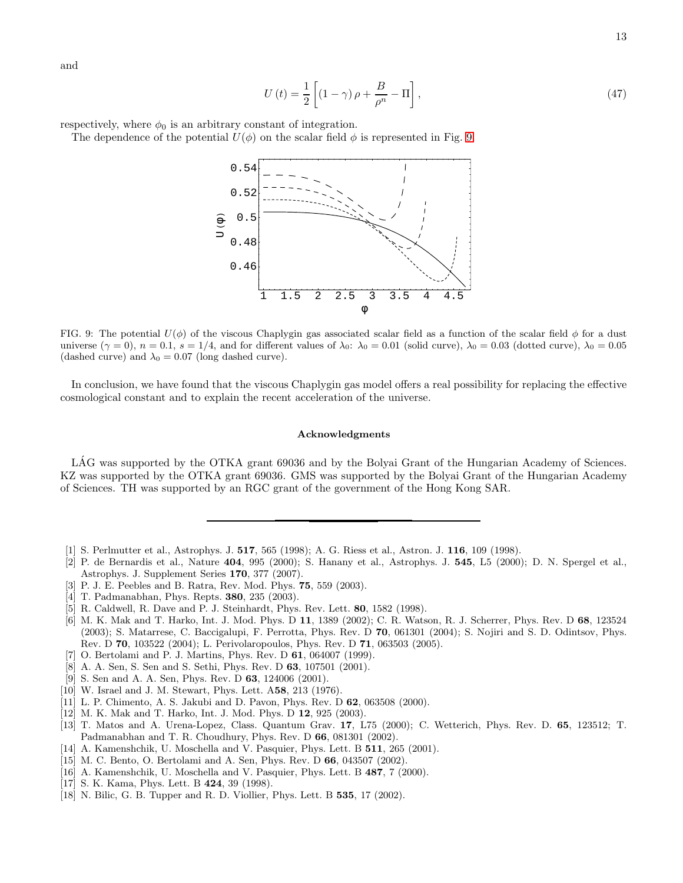and

$$
U(t) = \frac{1}{2} \left[ \left( 1 - \gamma \right) \rho + \frac{B}{\rho^n} - \Pi \right],\tag{47}
$$

respectively, where  $\phi_0$  is an arbitrary constant of integration.

The dependence of the potential  $U(\phi)$  on the scalar field  $\phi$  is represented in Fig. [9.](#page-12-18)



<span id="page-12-18"></span>FIG. 9: The potential  $U(\phi)$  of the viscous Chaplygin gas associated scalar field as a function of the scalar field  $\phi$  for a dust universe  $(\gamma = 0)$ ,  $n = 0.1$ ,  $s = 1/4$ , and for different values of  $\lambda_0$ :  $\lambda_0 = 0.01$  (solid curve),  $\lambda_0 = 0.03$  (dotted curve),  $\lambda_0 = 0.05$ (dashed curve) and  $\lambda_0 = 0.07$  (long dashed curve).

In conclusion, we have found that the viscous Chaplygin gas model offers a real possibility for replacing the effective cosmological constant and to explain the recent acceleration of the universe.

### Acknowledgments

LAG was supported by the OTKA grant 69036 and by the Bolyai Grant of the Hungarian Academy of Sciences. KZ was supported by the OTKA grant 69036. GMS was supported by the Bolyai Grant of the Hungarian Academy of Sciences. TH was supported by an RGC grant of the government of the Hong Kong SAR.

- <span id="page-12-0"></span>[1] S. Perlmutter et al., Astrophys. J. 517, 565 (1998); A. G. Riess et al., Astron. J. 116, 109 (1998).
- <span id="page-12-1"></span>[2] P. de Bernardis et al., Nature 404, 995 (2000); S. Hanany et al., Astrophys. J. 545, L5 (2000); D. N. Spergel et al., Astrophys. J. Supplement Series 170, 377 (2007).
- <span id="page-12-2"></span>[3] P. J. E. Peebles and B. Ratra, Rev. Mod. Phys. 75, 559 (2003).
- <span id="page-12-3"></span>[4] T. Padmanabhan, Phys. Repts. **380**, 235 (2003).
- <span id="page-12-4"></span>[5] R. Caldwell, R. Dave and P. J. Steinhardt, Phys. Rev. Lett. 80, 1582 (1998).
- <span id="page-12-5"></span>[6] M. K. Mak and T. Harko, Int. J. Mod. Phys. D 11, 1389 (2002); C. R. Watson, R. J. Scherrer, Phys. Rev. D 68, 123524 (2003); S. Matarrese, C. Baccigalupi, F. Perrotta, Phys. Rev. D 70, 061301 (2004); S. Nojiri and S. D. Odintsov, Phys. Rev. D 70, 103522 (2004); L. Perivolaropoulos, Phys. Rev. D 71, 063503 (2005).
- <span id="page-12-6"></span>[7] O. Bertolami and P. J. Martins, Phys. Rev. D 61, 064007 (1999).
- <span id="page-12-7"></span>[8] A. A. Sen, S. Sen and S. Sethi, Phys. Rev. D 63, 107501 (2001).
- <span id="page-12-8"></span>[9] S. Sen and A. A. Sen, Phys. Rev. D 63, 124006 (2001).
- <span id="page-12-16"></span>[10] W. Israel and J. M. Stewart, Phys. Lett. A58, 213 (1976).
- <span id="page-12-9"></span>[11] L. P. Chimento, A. S. Jakubi and D. Pavon, Phys. Rev. D 62, 063508 (2000).
- <span id="page-12-10"></span>[12] M. K. Mak and T. Harko, Int. J. Mod. Phys. D 12, 925 (2003).
- <span id="page-12-11"></span>[13] T. Matos and A. Urena-Lopez, Class. Quantum Grav. 17, L75 (2000); C. Wetterich, Phys. Rev. D. 65, 123512; T. Padmanabhan and T. R. Choudhury, Phys. Rev. D 66, 081301 (2002).
- <span id="page-12-12"></span>[14] A. Kamenshchik, U. Moschella and V. Pasquier, Phys. Lett. B 511, 265 (2001).
- <span id="page-12-13"></span>[15] M. C. Bento, O. Bertolami and A. Sen, Phys. Rev. D 66, 043507 (2002).
- <span id="page-12-14"></span>[16] A. Kamenshchik, U. Moschella and V. Pasquier, Phys. Lett. B 487, 7 (2000).
- <span id="page-12-15"></span>[17] S. K. Kama, Phys. Lett. B **424**, 39 (1998).
- <span id="page-12-17"></span>[18] N. Bilic, G. B. Tupper and R. D. Viollier, Phys. Lett. B 535, 17 (2002).